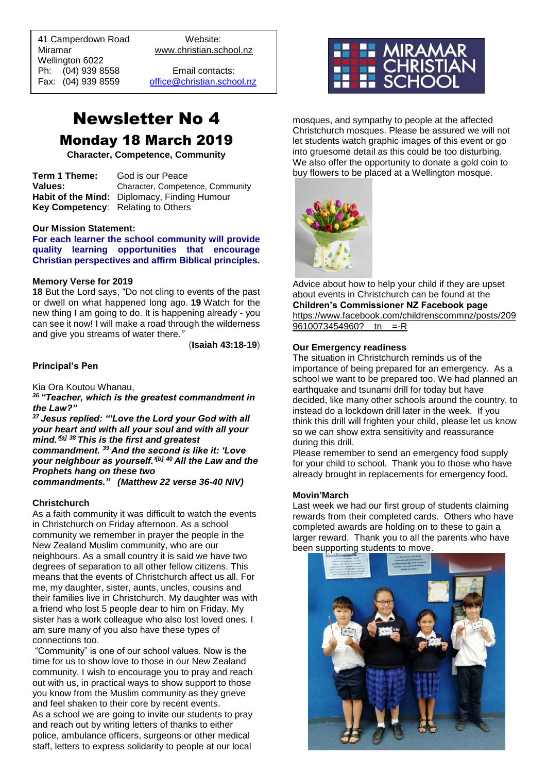41 Camperdown Road Website: Miramar www.christian.school.nz Wellington 6022 Ph: (04) 939 8558 Email contacts:

 $\overline{a}$ 

Fax: (04) 939 8559 [office@christian.school.nz](mailto:office@christian.school.nz)

## Newsletter No 4 Monday 18 March 2019

**Character, Competence, Community**

**Term 1 Theme:** God is our Peace **Values:** Character, Competence, Community **Habit of the Mind:** Diplomacy, Finding Humour **Key Competency**: Relating to Others

#### **Our Mission Statement:**

**For each learner the school community will provide quality learning opportunities that encourage Christian perspectives and affirm Biblical principles***.*

#### **Memory Verse for 2019**

**18** But the Lord says, "Do not cling to events of the past or dwell on what happened long ago. **19** Watch for the new thing I am going to do. It is happening already - you can see it now! I will make a road through the wilderness and give you streams of water there*."*

(**Isaiah 43:18-19**)

### **Principal's Pen**

Kia Ora Koutou Whanau,

*<sup>36</sup>"Teacher, which is the greatest commandment in the Law?"*

*<sup>37</sup>Jesus replied: "'Love the Lord your God with all your heart and with all your soul and with all your mind.'[\[a\]](https://www.biblegateway.com/passage/?search=Matthew+22%3A34-40&version=NIV#fen-NIV-23910a) <sup>38</sup>This is the first and greatest commandment. <sup>39</sup>And the second is like it: 'Love your neighbour as yourself.'[\[b\]](https://www.biblegateway.com/passage/?search=Matthew+22%3A34-40&version=NIV#fen-NIV-23912b) <sup>40</sup>All the Law and the Prophets hang on these two commandments." (Matthew 22 verse 36-40 NIV)*

#### **Christchurch**

As a faith community it was difficult to watch the events in Christchurch on Friday afternoon. As a school community we remember in prayer the people in the New Zealand Muslim community, who are our neighbours. As a small country it is said we have two degrees of separation to all other fellow citizens. This means that the events of Christchurch affect us all. For me, my daughter, sister, aunts, uncles, cousins and their families live in Christchurch. My daughter was with a friend who lost 5 people dear to him on Friday. My sister has a work colleague who also lost loved ones. I am sure many of you also have these types of connections too.

"Community" is one of our school values. Now is the time for us to show love to those in our New Zealand community. I wish to encourage you to pray and reach out with us, in practical ways to show support to those you know from the Muslim community as they grieve and feel shaken to their core by recent events. As a school we are going to invite our students to pray and reach out by writing letters of thanks to either police, ambulance officers, surgeons or other medical staff, letters to express solidarity to people at our local



mosques, and sympathy to people at the affected Christchurch mosques. Please be assured we will not let students watch graphic images of this event or go into gruesome detail as this could be too disturbing. We also offer the opportunity to donate a gold coin to buy flowers to be placed at a Wellington mosque.



Advice about how to help your child if they are upset about events in Christchurch can be found at the **Children's Commissioner NZ Facebook page** [https://www.facebook.com/childrenscommnz/posts/209](https://www.facebook.com/childrenscommnz/posts/2099610073454960?__tn__=-R) 9610073454960? \_ tn \_ =-R

## **Our Emergency readiness**

The situation in Christchurch reminds us of the importance of being prepared for an emergency. As a school we want to be prepared too. We had planned an earthquake and tsunami drill for today but have decided, like many other schools around the country, to instead do a lockdown drill later in the week. If you think this drill will frighten your child, please let us know so we can show extra sensitivity and reassurance during this drill.

Please remember to send an emergency food supply for your child to school. Thank you to those who have already brought in replacements for emergency food.

#### **Movin'March**

Last week we had our first group of students claiming rewards from their completed cards. Others who have completed awards are holding on to these to gain a larger reward. Thank you to all the parents who have been supporting students to move.

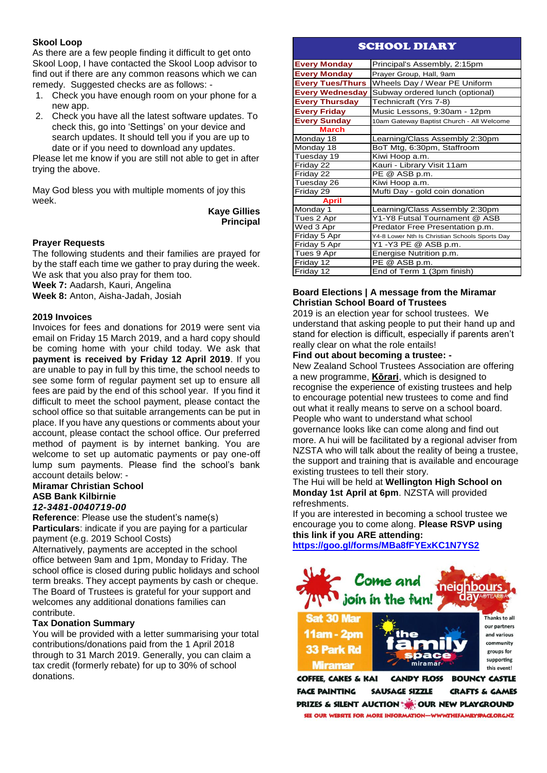## **Skool Loop**

As there are a few people finding it difficult to get onto Skool Loop, I have contacted the Skool Loop advisor to find out if there are any common reasons which we can remedy. Suggested checks are as follows: -

- 1. Check you have enough room on your phone for a new app.
- 2. Check you have all the latest software updates. To check this, go into 'Settings' on your device and search updates. It should tell you if you are up to date or if you need to download any updates.

Please let me know if you are still not able to get in after trying the above.

May God bless you with multiple moments of joy this week.

> **Kaye Gillies Principal**

## **Prayer Requests**

The following students and their families are prayed for by the staff each time we gather to pray during the week. We ask that you also pray for them too. **Week 7:** Aadarsh, Kauri, Angelina **Week 8:** Anton, Aisha-Jadah, Josiah

## **2019 Invoices**

Invoices for fees and donations for 2019 were sent via email on Friday 15 March 2019, and a hard copy should be coming home with your child today. We ask that **payment is received by Friday 12 April 2019**. If you are unable to pay in full by this time, the school needs to see some form of regular payment set up to ensure all fees are paid by the end of this school year. If you find it difficult to meet the school payment, please contact the school office so that suitable arrangements can be put in place. If you have any questions or comments about your account, please contact the school office. Our preferred method of payment is by internet banking. You are welcome to set up automatic payments or pay one-off lump sum payments. Please find the school's bank account details below: -

### **Miramar Christian School ASB Bank Kilbirnie**  *12-3481-0040719-00*

**Reference**: Please use the student's name(s) **Particulars**: indicate if you are paying for a particular payment (e.g. 2019 School Costs)

Alternatively, payments are accepted in the school office between 9am and 1pm, Monday to Friday. The school office is closed during public holidays and school term breaks. They accept payments by cash or cheque. The Board of Trustees is grateful for your support and welcomes any additional donations families can contribute.

## **Tax Donation Summary**

You will be provided with a letter summarising your total contributions/donations paid from the 1 April 2018 through to 31 March 2019. Generally, you can claim a tax credit (formerly rebate) for up to 30% of school donations.

## SCHOOL DIARY

| <b>Every Monday</b>     | Principal's Assembly, 2:15pm                   |
|-------------------------|------------------------------------------------|
| <b>Every Monday</b>     | Prayer Group, Hall, 9am                        |
| <b>Every Tues/Thurs</b> | Wheels Day / Wear PE Uniform                   |
| <b>Every Wednesday</b>  | Subway ordered lunch (optional)                |
| <b>Every Thursday</b>   | Technicraft (Yrs 7-8)                          |
| <b>Every Friday</b>     | Music Lessons, 9:30am - 12pm                   |
| <b>Every Sunday</b>     | 10am Gateway Baptist Church - All Welcome      |
| <b>March</b>            |                                                |
| Monday 18               | Learning/Class Assembly 2:30pm                 |
| Monday 18               | BoT Mtg, 6:30pm, Staffroom                     |
| Tuesday 19              | Kiwi Hoop a.m.                                 |
| Friday 22               | Kauri - Library Visit 11am                     |
| Friday 22               | PE @ ASB p.m.                                  |
| Tuesday 26              | Kiwi Hoop a.m.                                 |
| Friday 29               | Mufti Day - gold coin donation                 |
| <b>April</b>            |                                                |
| Monday 1                | Learning/Class Assembly 2:30pm                 |
| Tues 2 Apr              | Y1-Y8 Futsal Tournament @ ASB                  |
| Wed 3 Apr               | Predator Free Presentation p.m.                |
| Friday 5 Apr            | Y4-8 Lower Nth Is Christian Schools Sports Day |
| Friday 5 Apr            | Y1 - Y3 PE @ ASB p.m.                          |
| Tues 9 Apr              | Energise Nutrition p.m.                        |
| Friday 12               | PE @ ASB p.m.                                  |
| Friday 12               | End of Term 1 (3pm finish)                     |

## **Board Elections | A message from the Miramar Christian School Board of Trustees**

2019 is an election year for school trustees. We understand that asking people to put their hand up and stand for election is difficult, especially if parents aren't really clear on what the role entails!

## **Find out about becoming a trustee: -**

New Zealand School Trustees Association are offering a new programme, **[Kōrari](http://www.whs.school.nz/wp-content/uploads/Korari-event-flyer_Wellington.pdf)**, which is designed to recognise the experience of existing trustees and help to encourage potential new trustees to come and find out what it really means to serve on a school board. People who want to understand what school governance looks like can come along and find out more. A hui will be facilitated by a regional adviser from NZSTA who will talk about the reality of being a trustee, the support and training that is available and encourage existing trustees to tell their story.

The Hui will be held at **Wellington High School on Monday 1st April at 6pm**. NZSTA will provided refreshments.

If you are interested in becoming a school trustee we encourage you to come along. **Please RSVP using this link if you ARE attending:**

**<https://goo.gl/forms/MBa8fFYExKC1N7YS2>**



**COFFEE, CAKES & KAI CANDY FLOSS BOUNCY CASTLE FACE PAINTING SAUSAGE SIZZLE CRAFTS & GAMES** PRIZES & SILENT AUCTION WOR NEW PLAYGROUND SEE OUR WEBSITE FOR MORE INFORMATION-WWW.THEFAMILYSPACE.ORG.NZ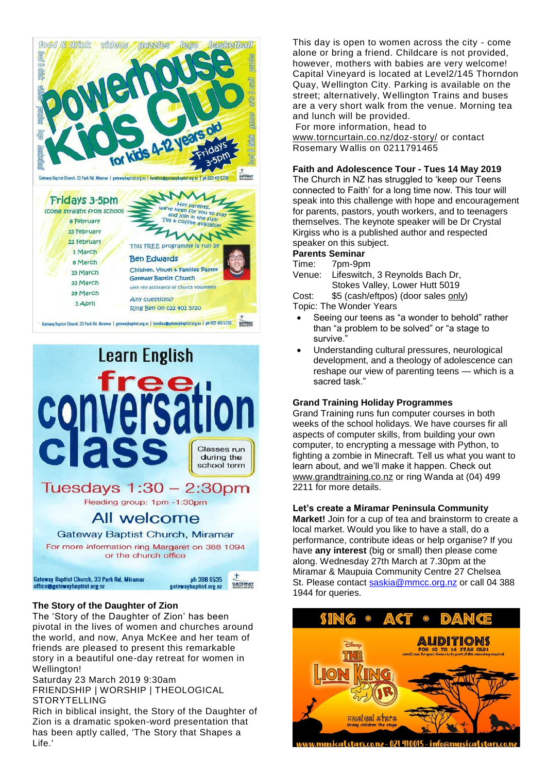



## **The Story of the Daughter of Zion**

The 'Story of the Daughter of Zion' has been pivotal in the lives of women and churches around the world, and now, Anya McKee and her team of friends are pleased to present this remarkable story in a beautiful one-day retreat for women in Wellington!

Saturday 23 March 2019 9:30am

FRIENDSHIP | WORSHIP | THEOLOGICAL STORYTELLING

Rich in biblical insight, the Story of the Daughter of Zion is a dramatic spoken-word presentation that has been aptly called, 'The Story that Shapes a Life.'

This day is open to women across the city - come alone or bring a friend. Childcare is not provided, however, mothers with babies are very welcome! Capital Vineyard is located at Level2/145 Thorndon Quay, Wellington City. Parking is available on the street; alternatively, Wellington Trains and buses are a very short walk from the venue. Morning tea and lunch will be provided.

For more information, head to [www.torncurtain.co.nz/doz-story/](https://www.torncurtain.co.nz/doz-story) or contact Rosemary Wallis on 0211791465

## **Faith and Adolescence Tour - Tues 14 May 2019**

The Church in NZ has struggled to 'keep our Teens connected to Faith' for a long time now. This tour will speak into this challenge with hope and encouragement for parents, pastors, youth workers, and to teenagers themselves. The keynote speaker will be Dr Crystal Kirgiss who is a published author and respected speaker on this subject.

## **Parents Seminar**

Time: 7pm-9pm

Venue: Lifeswitch, 3 Reynolds Bach Dr, Stokes Valley, Lower Hutt 5019

Cost: \$5 (cash/eftpos) (door sales only)

Topic: The Wonder Years

- Seeing our teens as "a wonder to behold" rather than "a problem to be solved" or "a stage to survive."
- Understanding cultural pressures, neurological development, and a theology of adolescence can reshape our view of parenting teens — which is a sacred task."

## **Grand Training Holiday Programmes**

Grand Training runs fun computer courses in both weeks of the school holidays. We have courses fir all aspects of computer skills, from building your own computer, to encrypting a message with Python, to fighting a zombie in Minecraft. Tell us what you want to learn about, and we'll make it happen. Check out [www.grandtraining.co.nz](http://www.grandtraining.co.nz/) or ring Wanda at (04) 499 2211 for more details.

## **Let's create a Miramar Peninsula Community**

**Market!** Join for a cup of tea and brainstorm to create a local market. Would you like to have a stall, do a performance, contribute ideas or help organise? If you have **any interest** (big or small) then please come along. Wednesday 27th March at 7.30pm at the Miramar & Maupuia Community Centre 27 Chelsea St. Please contact [saskia@mmcc.org.nz](mailto:saskia@mmcc.org.nz) or call 04 388 1944 for queries.



sicalstars.co.nz - 021 410015